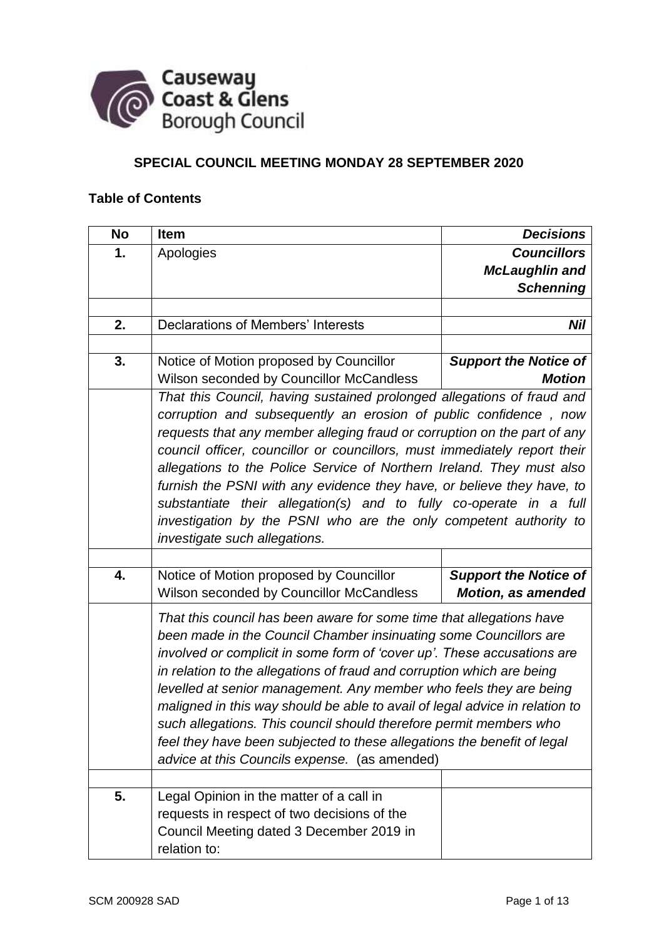

# **SPECIAL COUNCIL MEETING MONDAY 28 SEPTEMBER 2020**

# **Table of Contents**

| <b>No</b> | <b>Item</b>                                                                                                                                                                                                                                                                                                                                                                                                                                                                                                                                                                                                                                                                                       | <b>Decisions</b>                                          |
|-----------|---------------------------------------------------------------------------------------------------------------------------------------------------------------------------------------------------------------------------------------------------------------------------------------------------------------------------------------------------------------------------------------------------------------------------------------------------------------------------------------------------------------------------------------------------------------------------------------------------------------------------------------------------------------------------------------------------|-----------------------------------------------------------|
| 1.        | Apologies                                                                                                                                                                                                                                                                                                                                                                                                                                                                                                                                                                                                                                                                                         | <b>Councillors</b>                                        |
|           |                                                                                                                                                                                                                                                                                                                                                                                                                                                                                                                                                                                                                                                                                                   | <b>McLaughlin and</b>                                     |
|           |                                                                                                                                                                                                                                                                                                                                                                                                                                                                                                                                                                                                                                                                                                   | <b>Schenning</b>                                          |
|           |                                                                                                                                                                                                                                                                                                                                                                                                                                                                                                                                                                                                                                                                                                   |                                                           |
| 2.        | <b>Declarations of Members' Interests</b>                                                                                                                                                                                                                                                                                                                                                                                                                                                                                                                                                                                                                                                         | <b>Nil</b>                                                |
|           |                                                                                                                                                                                                                                                                                                                                                                                                                                                                                                                                                                                                                                                                                                   |                                                           |
| 3.        | Notice of Motion proposed by Councillor                                                                                                                                                                                                                                                                                                                                                                                                                                                                                                                                                                                                                                                           | <b>Support the Notice of</b>                              |
|           | Wilson seconded by Councillor McCandless                                                                                                                                                                                                                                                                                                                                                                                                                                                                                                                                                                                                                                                          | <b>Motion</b>                                             |
|           | That this Council, having sustained prolonged allegations of fraud and<br>corruption and subsequently an erosion of public confidence, now<br>requests that any member alleging fraud or corruption on the part of any<br>council officer, councillor or councillors, must immediately report their<br>allegations to the Police Service of Northern Ireland. They must also<br>furnish the PSNI with any evidence they have, or believe they have, to<br>substantiate their allegation(s) and to fully co-operate in a full<br>investigation by the PSNI who are the only competent authority to<br>investigate such allegations.                                                                |                                                           |
| 4.        | Notice of Motion proposed by Councillor<br>Wilson seconded by Councillor McCandless                                                                                                                                                                                                                                                                                                                                                                                                                                                                                                                                                                                                               | <b>Support the Notice of</b><br><b>Motion, as amended</b> |
| 5.        | That this council has been aware for some time that allegations have<br>been made in the Council Chamber insinuating some Councillors are<br>involved or complicit in some form of 'cover up'. These accusations are<br>in relation to the allegations of fraud and corruption which are being<br>levelled at senior management. Any member who feels they are being<br>maligned in this way should be able to avail of legal advice in relation to<br>such allegations. This council should therefore permit members who<br>feel they have been subjected to these allegations the benefit of legal<br>advice at this Councils expense. (as amended)<br>Legal Opinion in the matter of a call in |                                                           |
|           | requests in respect of two decisions of the<br>Council Meeting dated 3 December 2019 in<br>relation to:                                                                                                                                                                                                                                                                                                                                                                                                                                                                                                                                                                                           |                                                           |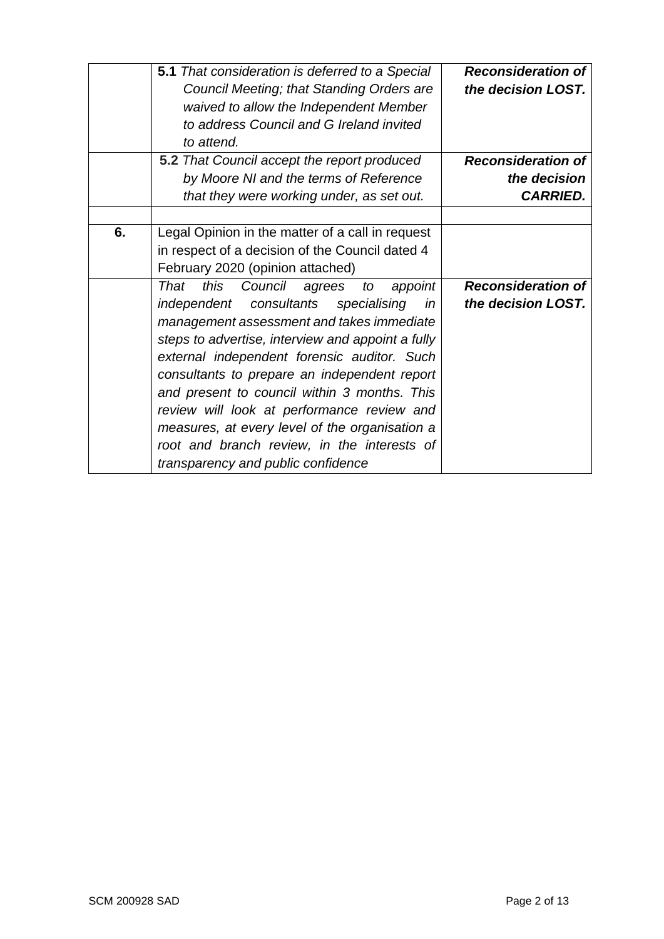|    | <b>5.1</b> That consideration is deferred to a Special | <b>Reconsideration of</b> |
|----|--------------------------------------------------------|---------------------------|
|    | Council Meeting; that Standing Orders are              | the decision LOST.        |
|    | waived to allow the Independent Member                 |                           |
|    | to address Council and G Ireland invited               |                           |
|    | to attend.                                             |                           |
|    | 5.2 That Council accept the report produced            | <b>Reconsideration of</b> |
|    | by Moore NI and the terms of Reference                 | the decision              |
|    | that they were working under, as set out.              | <b>CARRIED.</b>           |
|    |                                                        |                           |
| 6. | Legal Opinion in the matter of a call in request       |                           |
|    | in respect of a decision of the Council dated 4        |                           |
|    | February 2020 (opinion attached)                       |                           |
|    | this<br>That<br>Council<br>appoint<br>agrees<br>to     | <b>Reconsideration of</b> |
|    | consultants<br>independent<br>specialising<br>in       | the decision LOST.        |
|    | management assessment and takes immediate              |                           |
|    | steps to advertise, interview and appoint a fully      |                           |
|    | external independent forensic auditor. Such            |                           |
|    | consultants to prepare an independent report           |                           |
|    | and present to council within 3 months. This           |                           |
|    | review will look at performance review and             |                           |
|    | measures, at every level of the organisation a         |                           |
|    | root and branch review, in the interests of            |                           |
|    |                                                        |                           |
|    | transparency and public confidence                     |                           |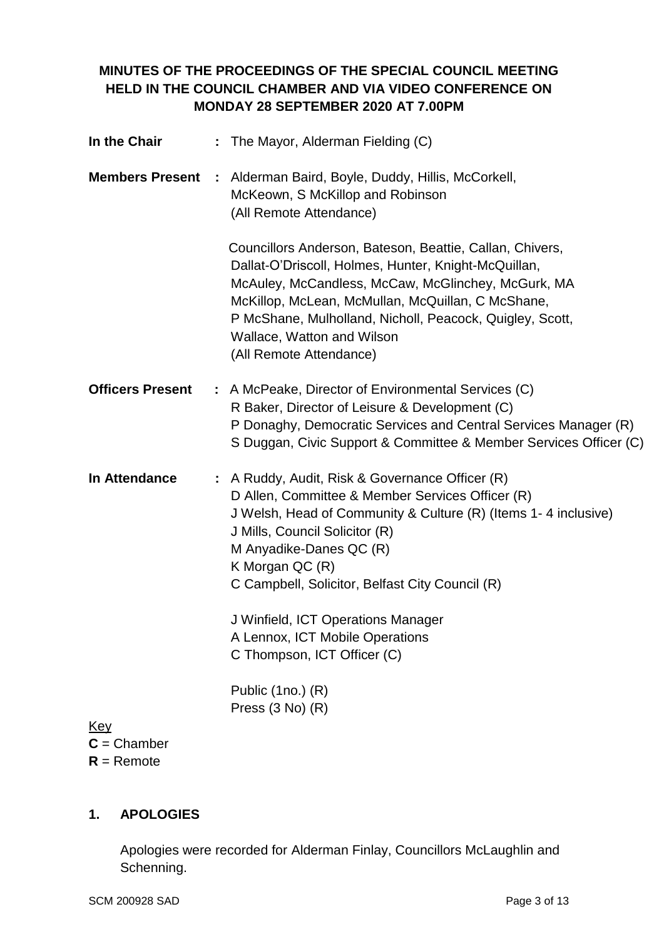# **MINUTES OF THE PROCEEDINGS OF THE SPECIAL COUNCIL MEETING HELD IN THE COUNCIL CHAMBER AND VIA VIDEO CONFERENCE ON MONDAY 28 SEPTEMBER 2020 AT 7.00PM**

| In the Chair                | : The Mayor, Alderman Fielding (C)                                                                                                                                                                                                                                                                                                                                                                               |
|-----------------------------|------------------------------------------------------------------------------------------------------------------------------------------------------------------------------------------------------------------------------------------------------------------------------------------------------------------------------------------------------------------------------------------------------------------|
| <b>Members Present</b>      | : Alderman Baird, Boyle, Duddy, Hillis, McCorkell,<br>McKeown, S McKillop and Robinson<br>(All Remote Attendance)                                                                                                                                                                                                                                                                                                |
|                             | Councillors Anderson, Bateson, Beattie, Callan, Chivers,<br>Dallat-O'Driscoll, Holmes, Hunter, Knight-McQuillan,<br>McAuley, McCandless, McCaw, McGlinchey, McGurk, MA<br>McKillop, McLean, McMullan, McQuillan, C McShane,<br>P McShane, Mulholland, Nicholl, Peacock, Quigley, Scott,<br>Wallace, Watton and Wilson<br>(All Remote Attendance)                                                                 |
| <b>Officers Present</b>     | : A McPeake, Director of Environmental Services (C)<br>R Baker, Director of Leisure & Development (C)<br>P Donaghy, Democratic Services and Central Services Manager (R)<br>S Duggan, Civic Support & Committee & Member Services Officer (C)                                                                                                                                                                    |
| In Attendance               | : A Ruddy, Audit, Risk & Governance Officer (R)<br>D Allen, Committee & Member Services Officer (R)<br>J Welsh, Head of Community & Culture (R) (Items 1-4 inclusive)<br>J Mills, Council Solicitor (R)<br>M Anyadike-Danes QC (R)<br>K Morgan QC (R)<br>C Campbell, Solicitor, Belfast City Council (R)<br>J Winfield, ICT Operations Manager<br>A Lennox, ICT Mobile Operations<br>C Thompson, ICT Officer (C) |
| <u>Key</u><br>$C =$ Chamber | Public (1no.) (R)<br>Press $(3 No)$ $(R)$                                                                                                                                                                                                                                                                                                                                                                        |

**R** = Remote

# **1. APOLOGIES**

Apologies were recorded for Alderman Finlay, Councillors McLaughlin and Schenning.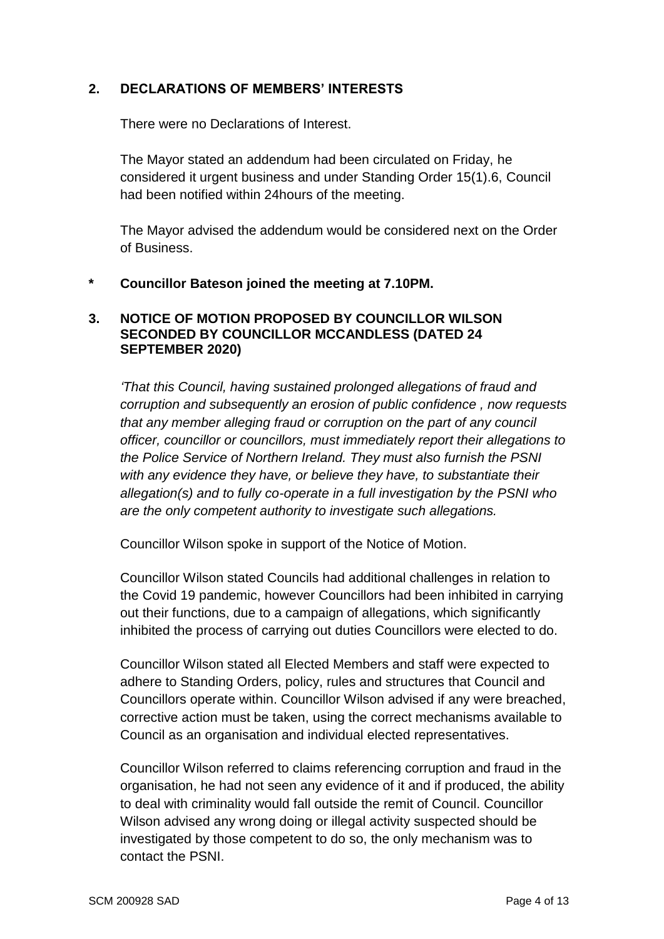### **2. DECLARATIONS OF MEMBERS' INTERESTS**

There were no Declarations of Interest.

The Mayor stated an addendum had been circulated on Friday, he considered it urgent business and under Standing Order 15(1).6, Council had been notified within 24hours of the meeting.

The Mayor advised the addendum would be considered next on the Order of Business.

#### **\* Councillor Bateson joined the meeting at 7.10PM.**

#### **3. NOTICE OF MOTION PROPOSED BY COUNCILLOR WILSON SECONDED BY COUNCILLOR MCCANDLESS (DATED 24 SEPTEMBER 2020)**

*'That this Council, having sustained prolonged allegations of fraud and corruption and subsequently an erosion of public confidence , now requests that any member alleging fraud or corruption on the part of any council officer, councillor or councillors, must immediately report their allegations to the Police Service of Northern Ireland. They must also furnish the PSNI with any evidence they have, or believe they have, to substantiate their allegation(s) and to fully co-operate in a full investigation by the PSNI who are the only competent authority to investigate such allegations.* 

Councillor Wilson spoke in support of the Notice of Motion.

Councillor Wilson stated Councils had additional challenges in relation to the Covid 19 pandemic, however Councillors had been inhibited in carrying out their functions, due to a campaign of allegations, which significantly inhibited the process of carrying out duties Councillors were elected to do.

Councillor Wilson stated all Elected Members and staff were expected to adhere to Standing Orders, policy, rules and structures that Council and Councillors operate within. Councillor Wilson advised if any were breached, corrective action must be taken, using the correct mechanisms available to Council as an organisation and individual elected representatives.

Councillor Wilson referred to claims referencing corruption and fraud in the organisation, he had not seen any evidence of it and if produced, the ability to deal with criminality would fall outside the remit of Council. Councillor Wilson advised any wrong doing or illegal activity suspected should be investigated by those competent to do so, the only mechanism was to contact the PSNI.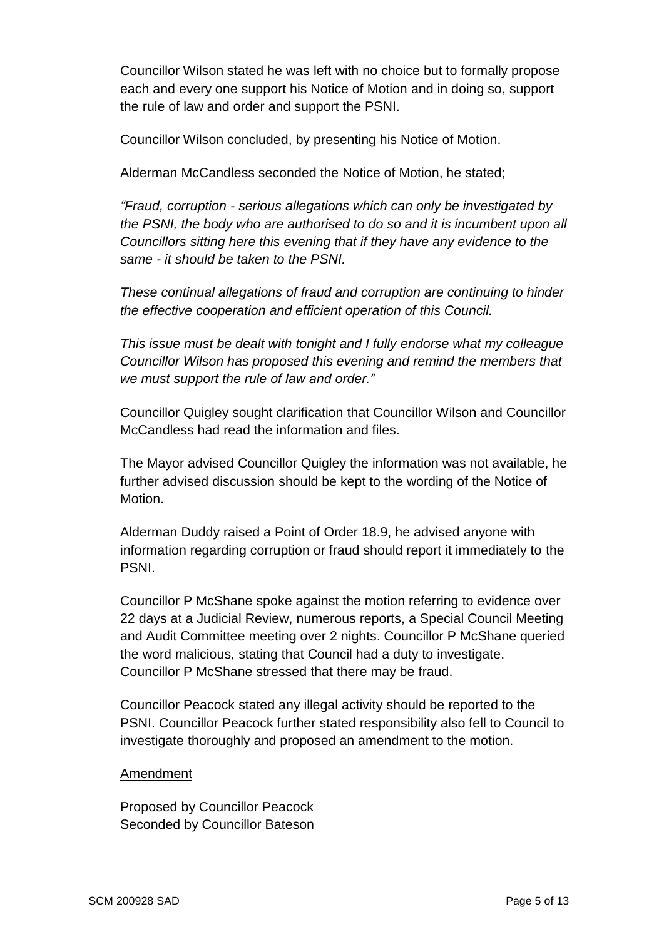Councillor Wilson stated he was left with no choice but to formally propose each and every one support his Notice of Motion and in doing so, support the rule of law and order and support the PSNI.

Councillor Wilson concluded, by presenting his Notice of Motion.

Alderman McCandless seconded the Notice of Motion, he stated;

*"Fraud, corruption - serious allegations which can only be investigated by the PSNI, the body who are authorised to do so and it is incumbent upon all Councillors sitting here this evening that if they have any evidence to the same - it should be taken to the PSNI.*

*These continual allegations of fraud and corruption are continuing to hinder the effective cooperation and efficient operation of this Council.*

*This issue must be dealt with tonight and I fully endorse what my colleague Councillor Wilson has proposed this evening and remind the members that we must support the rule of law and order."* 

Councillor Quigley sought clarification that Councillor Wilson and Councillor McCandless had read the information and files.

The Mayor advised Councillor Quigley the information was not available, he further advised discussion should be kept to the wording of the Notice of Motion.

Alderman Duddy raised a Point of Order 18.9, he advised anyone with information regarding corruption or fraud should report it immediately to the PSNI.

Councillor P McShane spoke against the motion referring to evidence over 22 days at a Judicial Review, numerous reports, a Special Council Meeting and Audit Committee meeting over 2 nights. Councillor P McShane queried the word malicious, stating that Council had a duty to investigate. Councillor P McShane stressed that there may be fraud.

Councillor Peacock stated any illegal activity should be reported to the PSNI. Councillor Peacock further stated responsibility also fell to Council to investigate thoroughly and proposed an amendment to the motion.

#### Amendment

Proposed by Councillor Peacock Seconded by Councillor Bateson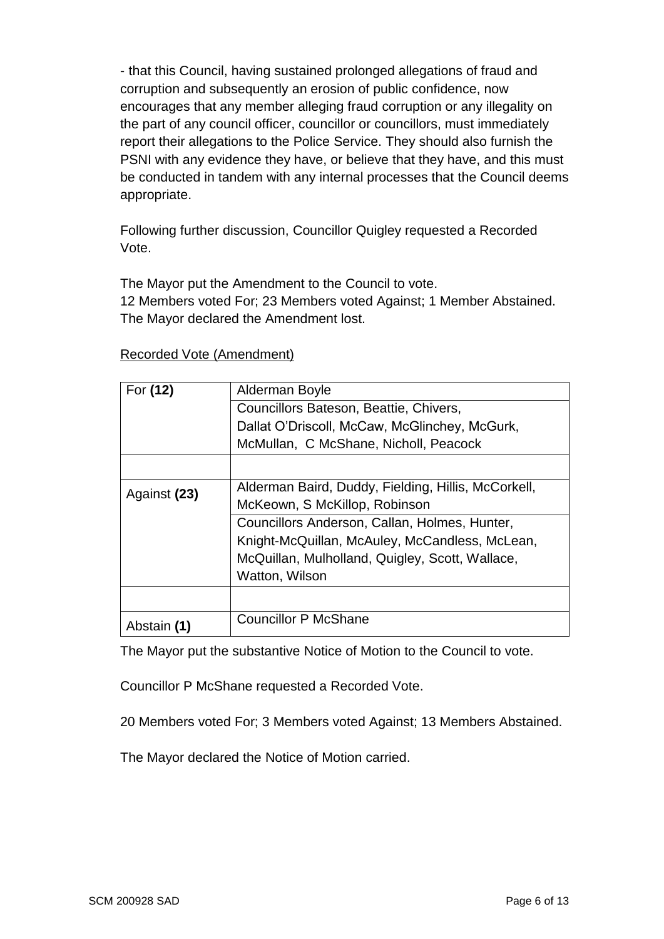- that this Council, having sustained prolonged allegations of fraud and corruption and subsequently an erosion of public confidence, now encourages that any member alleging fraud corruption or any illegality on the part of any council officer, councillor or councillors, must immediately report their allegations to the Police Service. They should also furnish the PSNI with any evidence they have, or believe that they have, and this must be conducted in tandem with any internal processes that the Council deems appropriate.

Following further discussion, Councillor Quigley requested a Recorded Vote.

The Mayor put the Amendment to the Council to vote.

12 Members voted For; 23 Members voted Against; 1 Member Abstained. The Mayor declared the Amendment lost.

| For (12)     | Alderman Boyle                                      |
|--------------|-----------------------------------------------------|
|              | Councillors Bateson, Beattie, Chivers,              |
|              | Dallat O'Driscoll, McCaw, McGlinchey, McGurk,       |
|              | McMullan, C McShane, Nicholl, Peacock               |
|              |                                                     |
| Against (23) | Alderman Baird, Duddy, Fielding, Hillis, McCorkell, |
|              | McKeown, S McKillop, Robinson                       |
|              | Councillors Anderson, Callan, Holmes, Hunter,       |
|              | Knight-McQuillan, McAuley, McCandless, McLean,      |
|              | McQuillan, Mulholland, Quigley, Scott, Wallace,     |
|              | Watton, Wilson                                      |
|              |                                                     |
| Abstain (1)  | <b>Councillor P McShane</b>                         |

#### Recorded Vote (Amendment)

The Mayor put the substantive Notice of Motion to the Council to vote.

Councillor P McShane requested a Recorded Vote.

20 Members voted For; 3 Members voted Against; 13 Members Abstained.

The Mayor declared the Notice of Motion carried.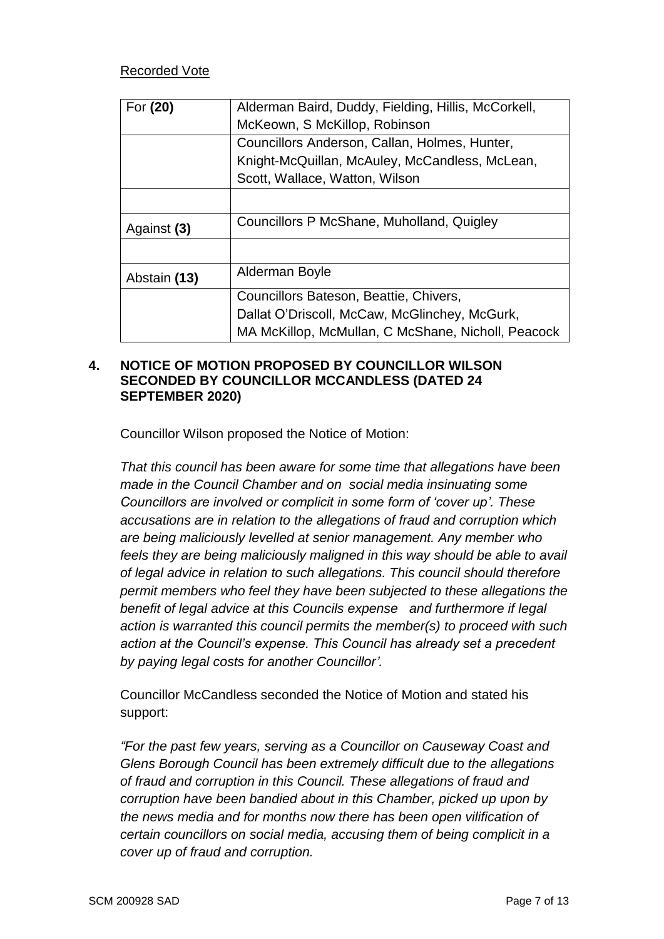### Recorded Vote

| For (20)     | Alderman Baird, Duddy, Fielding, Hillis, McCorkell, |
|--------------|-----------------------------------------------------|
|              | McKeown, S McKillop, Robinson                       |
|              | Councillors Anderson, Callan, Holmes, Hunter,       |
|              | Knight-McQuillan, McAuley, McCandless, McLean,      |
|              | Scott, Wallace, Watton, Wilson                      |
|              |                                                     |
| Against (3)  | Councillors P McShane, Muholland, Quigley           |
|              |                                                     |
| Abstain (13) | Alderman Boyle                                      |
|              | Councillors Bateson, Beattie, Chivers,              |
|              | Dallat O'Driscoll, McCaw, McGlinchey, McGurk,       |
|              | MA McKillop, McMullan, C McShane, Nicholl, Peacock  |

#### **4. NOTICE OF MOTION PROPOSED BY COUNCILLOR WILSON SECONDED BY COUNCILLOR MCCANDLESS (DATED 24 SEPTEMBER 2020)**

Councillor Wilson proposed the Notice of Motion:

*That this council has been aware for some time that allegations have been made in the Council Chamber and on social media insinuating some Councillors are involved or complicit in some form of 'cover up'. These accusations are in relation to the allegations of fraud and corruption which are being maliciously levelled at senior management. Any member who feels they are being maliciously maligned in this way should be able to avail of legal advice in relation to such allegations. This council should therefore permit members who feel they have been subjected to these allegations the benefit of legal advice at this Councils expense and furthermore if legal action is warranted this council permits the member(s) to proceed with such action at the Council's expense. This Council has already set a precedent by paying legal costs for another Councillor'.* 

Councillor McCandless seconded the Notice of Motion and stated his support:

*"For the past few years, serving as a Councillor on Causeway Coast and Glens Borough Council has been extremely difficult due to the allegations of fraud and corruption in this Council. These allegations of fraud and corruption have been bandied about in this Chamber, picked up upon by the news media and for months now there has been open vilification of certain councillors on social media, accusing them of being complicit in a cover up of fraud and corruption.*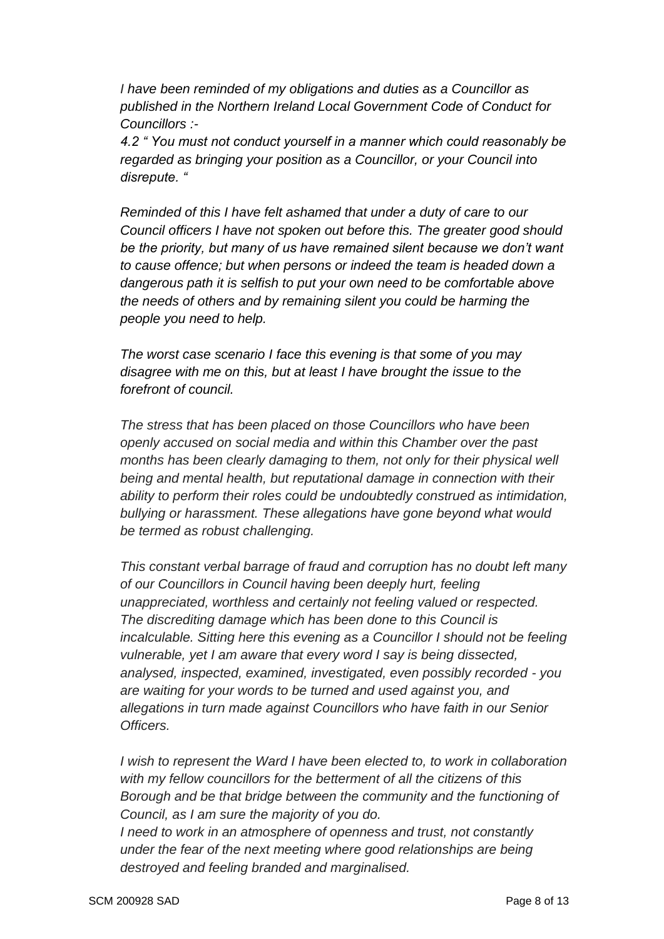*I have been reminded of my obligations and duties as a Councillor as published in the Northern Ireland Local Government Code of Conduct for Councillors :-*

*4.2 " You must not conduct yourself in a manner which could reasonably be regarded as bringing your position as a Councillor, or your Council into disrepute. "*

*Reminded of this I have felt ashamed that under a duty of care to our Council officers I have not spoken out before this. The greater good should be the priority, but many of us have remained silent because we don't want to cause offence; but when persons or indeed the team is headed down a dangerous path it is selfish to put your own need to be comfortable above the needs of others and by remaining silent you could be harming the people you need to help.*

*The worst case scenario I face this evening is that some of you may disagree with me on this, but at least I have brought the issue to the forefront of council.*

*The stress that has been placed on those Councillors who have been openly accused on social media and within this Chamber over the past months has been clearly damaging to them, not only for their physical well being and mental health, but reputational damage in connection with their ability to perform their roles could be undoubtedly construed as intimidation, bullying or harassment. These allegations have gone beyond what would be termed as robust challenging.*

*This constant verbal barrage of fraud and corruption has no doubt left many of our Councillors in Council having been deeply hurt, feeling unappreciated, worthless and certainly not feeling valued or respected. The discrediting damage which has been done to this Council is incalculable. Sitting here this evening as a Councillor I should not be feeling vulnerable, yet I am aware that every word I say is being dissected, analysed, inspected, examined, investigated, even possibly recorded - you are waiting for your words to be turned and used against you, and allegations in turn made against Councillors who have faith in our Senior Officers.*

*I wish to represent the Ward I have been elected to, to work in collaboration with my fellow councillors for the betterment of all the citizens of this Borough and be that bridge between the community and the functioning of Council, as I am sure the majority of you do.*

*I need to work in an atmosphere of openness and trust, not constantly under the fear of the next meeting where good relationships are being destroyed and feeling branded and marginalised.*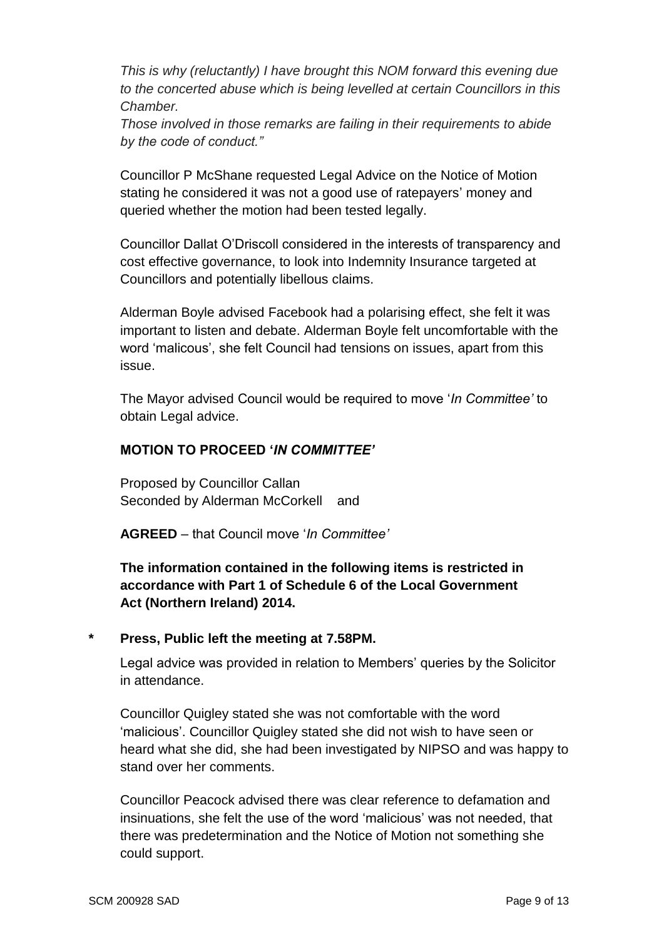*This is why (reluctantly) I have brought this NOM forward this evening due to the concerted abuse which is being levelled at certain Councillors in this Chamber.*

*Those involved in those remarks are failing in their requirements to abide by the code of conduct."* 

Councillor P McShane requested Legal Advice on the Notice of Motion stating he considered it was not a good use of ratepayers' money and queried whether the motion had been tested legally.

Councillor Dallat O'Driscoll considered in the interests of transparency and cost effective governance, to look into Indemnity Insurance targeted at Councillors and potentially libellous claims.

Alderman Boyle advised Facebook had a polarising effect, she felt it was important to listen and debate. Alderman Boyle felt uncomfortable with the word 'malicous', she felt Council had tensions on issues, apart from this issue.

The Mayor advised Council would be required to move '*In Committee'* to obtain Legal advice.

### **MOTION TO PROCEED '***IN COMMITTEE'*

Proposed by Councillor Callan Seconded by Alderman McCorkell and

**AGREED** – that Council move '*In Committee'*

**The information contained in the following items is restricted in accordance with Part 1 of Schedule 6 of the Local Government Act (Northern Ireland) 2014.**

#### **\* Press, Public left the meeting at 7.58PM.**

Legal advice was provided in relation to Members' queries by the Solicitor in attendance.

Councillor Quigley stated she was not comfortable with the word 'malicious'. Councillor Quigley stated she did not wish to have seen or heard what she did, she had been investigated by NIPSO and was happy to stand over her comments.

Councillor Peacock advised there was clear reference to defamation and insinuations, she felt the use of the word 'malicious' was not needed, that there was predetermination and the Notice of Motion not something she could support.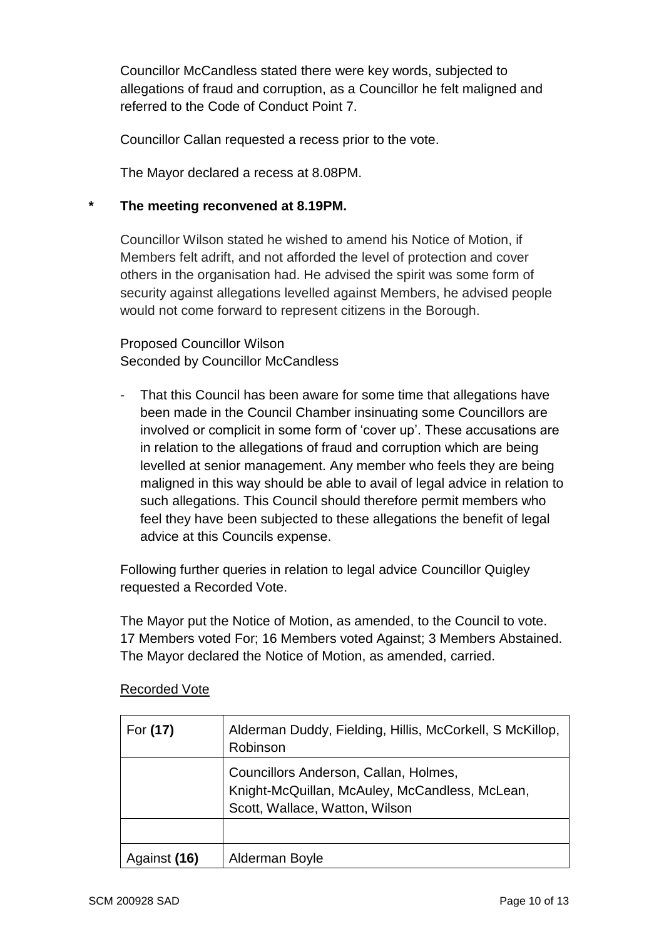Councillor McCandless stated there were key words, subjected to allegations of fraud and corruption, as a Councillor he felt maligned and referred to the Code of Conduct Point 7.

Councillor Callan requested a recess prior to the vote.

The Mayor declared a recess at 8.08PM.

### **\* The meeting reconvened at 8.19PM.**

Councillor Wilson stated he wished to amend his Notice of Motion, if Members felt adrift, and not afforded the level of protection and cover others in the organisation had. He advised the spirit was some form of security against allegations levelled against Members, he advised people would not come forward to represent citizens in the Borough.

Proposed Councillor Wilson Seconded by Councillor McCandless

- That this Council has been aware for some time that allegations have been made in the Council Chamber insinuating some Councillors are involved or complicit in some form of 'cover up'. These accusations are in relation to the allegations of fraud and corruption which are being levelled at senior management. Any member who feels they are being maligned in this way should be able to avail of legal advice in relation to such allegations. This Council should therefore permit members who feel they have been subjected to these allegations the benefit of legal advice at this Councils expense.

Following further queries in relation to legal advice Councillor Quigley requested a Recorded Vote.

The Mayor put the Notice of Motion, as amended, to the Council to vote. 17 Members voted For; 16 Members voted Against; 3 Members Abstained. The Mayor declared the Notice of Motion, as amended, carried.

| For (17)     | Alderman Duddy, Fielding, Hillis, McCorkell, S McKillop,<br>Robinson                                                      |
|--------------|---------------------------------------------------------------------------------------------------------------------------|
|              | Councillors Anderson, Callan, Holmes,<br>Knight-McQuillan, McAuley, McCandless, McLean,<br>Scott, Wallace, Watton, Wilson |
|              |                                                                                                                           |
| Against (16) | Alderman Boyle                                                                                                            |

# Recorded Vote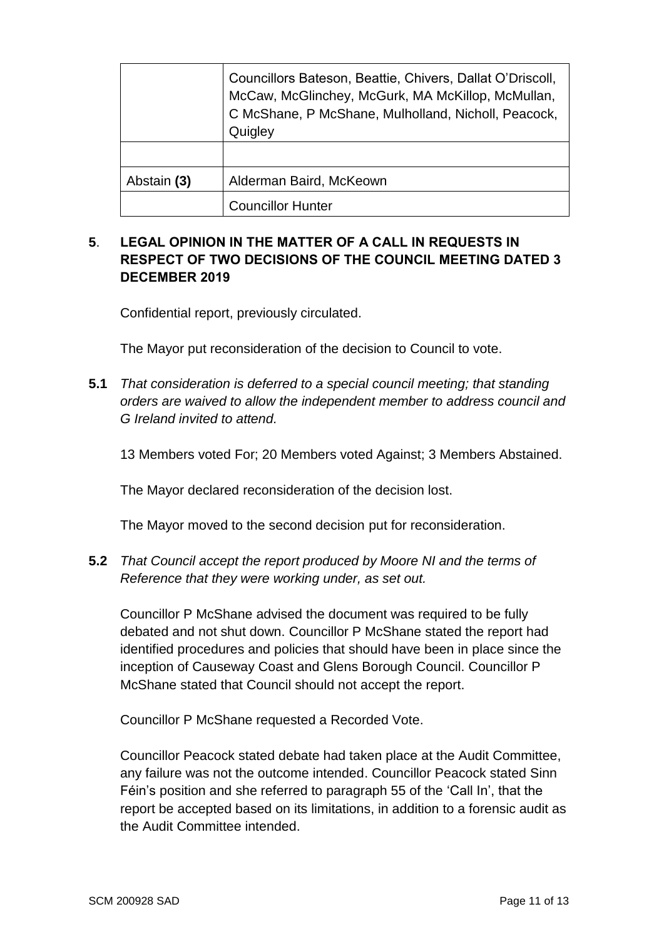|             | Councillors Bateson, Beattie, Chivers, Dallat O'Driscoll,<br>McCaw, McGlinchey, McGurk, MA McKillop, McMullan,<br>C McShane, P McShane, Mulholland, Nicholl, Peacock,<br>Quigley |
|-------------|----------------------------------------------------------------------------------------------------------------------------------------------------------------------------------|
|             |                                                                                                                                                                                  |
| Abstain (3) | Alderman Baird, McKeown                                                                                                                                                          |
|             | <b>Councillor Hunter</b>                                                                                                                                                         |

# **5**. **LEGAL OPINION IN THE MATTER OF A CALL IN REQUESTS IN RESPECT OF TWO DECISIONS OF THE COUNCIL MEETING DATED 3 DECEMBER 2019**

Confidential report, previously circulated.

The Mayor put reconsideration of the decision to Council to vote.

**5.1** *That consideration is deferred to a special council meeting; that standing orders are waived to allow the independent member to address council and G Ireland invited to attend.*

13 Members voted For; 20 Members voted Against; 3 Members Abstained.

The Mayor declared reconsideration of the decision lost.

The Mayor moved to the second decision put for reconsideration.

**5.2** *That Council accept the report produced by Moore NI and the terms of Reference that they were working under, as set out.*

Councillor P McShane advised the document was required to be fully debated and not shut down. Councillor P McShane stated the report had identified procedures and policies that should have been in place since the inception of Causeway Coast and Glens Borough Council. Councillor P McShane stated that Council should not accept the report.

Councillor P McShane requested a Recorded Vote.

Councillor Peacock stated debate had taken place at the Audit Committee, any failure was not the outcome intended. Councillor Peacock stated Sinn Féin's position and she referred to paragraph 55 of the 'Call In', that the report be accepted based on its limitations, in addition to a forensic audit as the Audit Committee intended.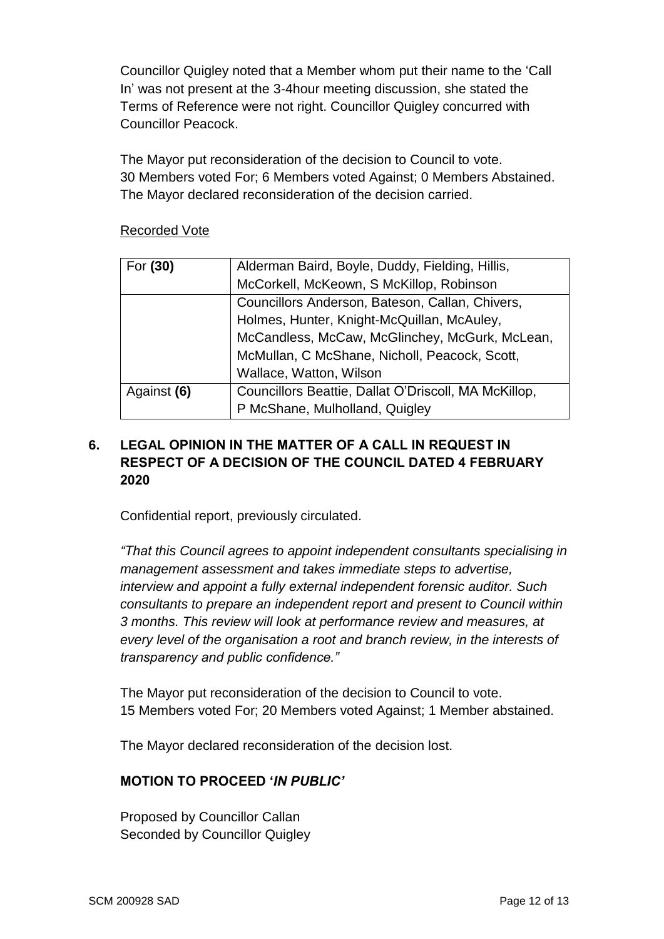Councillor Quigley noted that a Member whom put their name to the 'Call In' was not present at the 3-4hour meeting discussion, she stated the Terms of Reference were not right. Councillor Quigley concurred with Councillor Peacock.

The Mayor put reconsideration of the decision to Council to vote. 30 Members voted For; 6 Members voted Against; 0 Members Abstained. The Mayor declared reconsideration of the decision carried.

### Recorded Vote

| For (30)    | Alderman Baird, Boyle, Duddy, Fielding, Hillis,      |
|-------------|------------------------------------------------------|
|             | McCorkell, McKeown, S McKillop, Robinson             |
|             | Councillors Anderson, Bateson, Callan, Chivers,      |
|             | Holmes, Hunter, Knight-McQuillan, McAuley,           |
|             | McCandless, McCaw, McGlinchey, McGurk, McLean,       |
|             | McMullan, C McShane, Nicholl, Peacock, Scott,        |
|             | Wallace, Watton, Wilson                              |
| Against (6) | Councillors Beattie, Dallat O'Driscoll, MA McKillop, |
|             | P McShane, Mulholland, Quigley                       |

# **6. LEGAL OPINION IN THE MATTER OF A CALL IN REQUEST IN RESPECT OF A DECISION OF THE COUNCIL DATED 4 FEBRUARY 2020**

Confidential report, previously circulated.

*"That this Council agrees to appoint independent consultants specialising in management assessment and takes immediate steps to advertise, interview and appoint a fully external independent forensic auditor. Such consultants to prepare an independent report and present to Council within 3 months. This review will look at performance review and measures, at every level of the organisation a root and branch review, in the interests of transparency and public confidence."*

The Mayor put reconsideration of the decision to Council to vote. 15 Members voted For; 20 Members voted Against; 1 Member abstained.

The Mayor declared reconsideration of the decision lost.

# **MOTION TO PROCEED '***IN PUBLIC'*

Proposed by Councillor Callan Seconded by Councillor Quigley